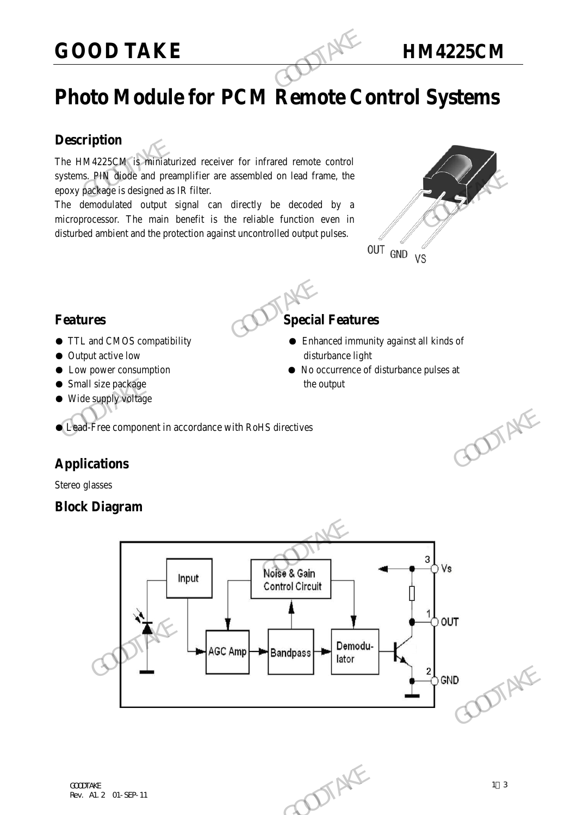# **GOOD TAKE HM4225CM**

# **Photo Module for PCM Remote Control Systems**

### **Description**

The HM4225CM is miniaturized receiver for infrared remote control systems. PIN diode and preamplifier are assembled on lead frame, the epoxy package is designed as IR filter. **GOOD TAKE**<br> **Photo Module for PCM Remote Conservation**<br>
The HM4225CM is minimaturized receiver for infrared remote control<br>
systems. PIN djode and preamplifier are assembled on lead frame, the<br>
epoxy package is designed a

The demodulated output signal can directly be decoded by a microprocessor. The main benefit is the reliable function even in disturbed ambient and the protection against uncontrolled output pulses.





- TTL and CMOS compatibility Enhanced immunity against all kinds of
- Output active low disturbance light
- Low power consumption No occurrence of disturbance pulses at
- Small size package the output
- Wide supply voltage

● Lead-Free component in accordance with RoHS directives

# **Applications**

Stereo glasses

## **Block Diagram**

# Free component in accordance with RoHS directives<br>
Lations<br>
Diagram<br>
Control Circuit<br>
Control Circuit<br>
AGC Amp<br>
Bandpass<br>
Demodu-<br>
AGC Amp<br>
Bandpass<br>
Demodu-<br>
Bandpass<br>
Demodu-<br>
Later  $\frac{\text{Noise & Gain} \text{Control Circuit}}{\text{Control Circuit}}$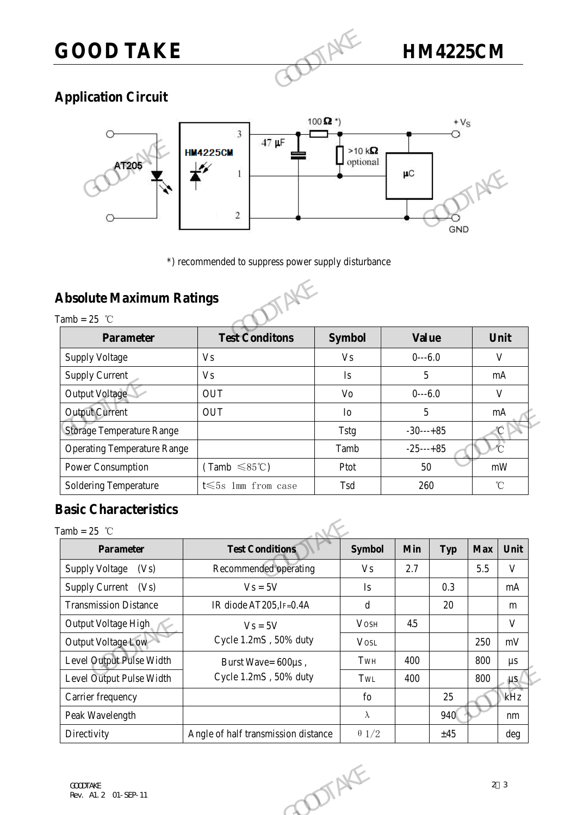

# **Application Circuit**



# **Absolute Maximum Ratings**



| יים וב<br><b>Absolute Maximum Ratings</b> | $\boldsymbol{2}$<br>*) recommended to suppress power supply disturbance |                | μC<br>GND    |              |
|-------------------------------------------|-------------------------------------------------------------------------|----------------|--------------|--------------|
| Tamb = $25$ °C<br><b>Parameter</b>        | <b>Test Conditons</b>                                                   | <b>Symbol</b>  | <b>Value</b> | Unit         |
|                                           |                                                                         |                |              |              |
| <b>Supply Voltage</b>                     | V <sub>s</sub>                                                          | V <sub>S</sub> | $0--6.0$     | $\mathbf{V}$ |
| <b>Supply Current</b>                     | V <sub>s</sub>                                                          | Is             | 5            | mA           |
| Output Voltage                            | <b>OUT</b>                                                              | Vo             | $0--6.0$     | $\mathbf{V}$ |
| <b>Output Current</b>                     | <b>OUT</b>                                                              | I <sub>0</sub> | 5            | mA           |
| <b>Storage Temperature Range</b>          |                                                                         | Tstg           | $-30---+85$  | °C           |
| <b>Operating Temperature Range</b>        |                                                                         | Tamb           | $-25---+85$  | $\sigma$     |
| Power Consumption                         | $(Tamb \leq 85^{\circ}C)$                                               | Ptot           | 50           | mW           |
| Soldering Temperature                     | $t \leq 5s$ 1mm from case                                               | Tsd            | 260          | $\mathrm{C}$ |

# **Basic Characteristics**

Tamb  $-25$  °

|                                    | <b>OUT</b>                          | 5<br>${\rm Io}$            |     |              | $\rm mA$   |                   |  |
|------------------------------------|-------------------------------------|----------------------------|-----|--------------|------------|-------------------|--|
| <b>Storage Temperature Range</b>   |                                     | $-30---+85$<br><b>Tstg</b> |     |              |            |                   |  |
| <b>Operating Temperature Range</b> |                                     | Tamb                       |     | $-25$ ---+85 |            |                   |  |
| Power Consumption                  | $(Tamb \leq 85^{\circ}C)$           | Ptot                       |     | 50<br>mW     |            |                   |  |
| <b>Soldering Temperature</b>       | t $\leqslant$ 5s 1mm from case      | Tsd                        | 260 |              |            | $^\circ\!{\rm C}$ |  |
| <b>Basic Characteristics</b>       |                                     |                            |     |              |            |                   |  |
| Tamb = $25$ °C                     |                                     |                            |     |              |            |                   |  |
| <b>Parameter</b>                   | <b>Test Conditions</b>              | <b>Symbol</b>              | Min | <b>Typ</b>   | <b>Max</b> | Unit              |  |
| <b>Supply Voltage</b><br>(Vs)      | Recommended operating               | <b>Vs</b>                  | 2.7 |              | 5.5        | $\mathbf V$       |  |
| Supply Current (Vs)                | $V_s = 5V$                          | $\mathbf{I}$ s             |     | 0.3          |            | mA                |  |
| <b>Transmission Distance</b>       | IR diode AT205, IF=0.4A             | $\mathbf d$                |     | 20           |            | m                 |  |
| Output Voltage High                | $Vs = 5V$                           | <b>VOSH</b>                | 4.5 |              |            | $\mathbf{V}$      |  |
| Output Voltage Low                 | Cycle 1.2mS, 50% duty               | <b>VOSL</b>                |     |              | 250        | mV                |  |
| Level Output Pulse Width           | Burst Wave= 600us,                  | TWH                        | 400 |              | 800        | $\mu s$           |  |
| Level Output Pulse Width           | Cycle 1.2mS, 50% duty               | TwL                        | 400 |              | 800        | $\mu s$           |  |
| Carrier frequency                  |                                     | ${\rm fo}$                 |     | 25           |            | kHz               |  |
| Peak Wavelength                    |                                     | $\lambda$                  |     | 940          |            | nm                |  |
| Directivity                        | Angle of half transmission distance | $\theta$ 1/2               |     | ±45          |            | deg               |  |